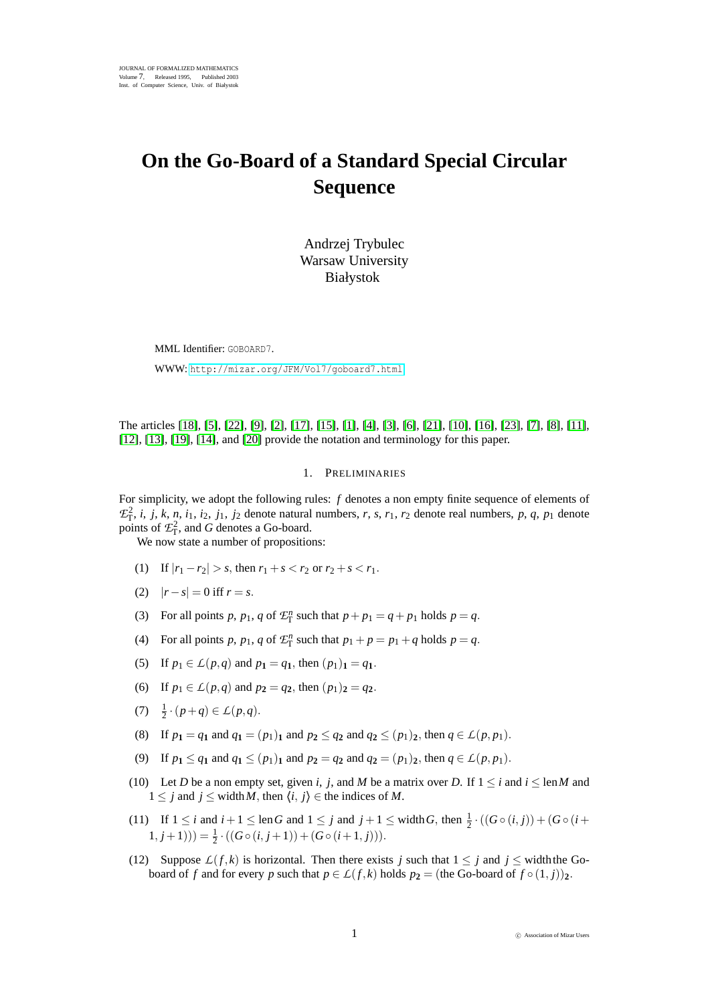# **On the Go-Board of a Standard Special Circular Sequence**

Andrzej Trybulec Warsaw University Białystok

MML Identifier: GOBOARD7. WWW: <http://mizar.org/JFM/Vol7/goboard7.html>

The articles [\[18\]](#page-7-0), [\[5\]](#page-6-0), [\[22\]](#page-7-1), [\[9\]](#page-7-2), [\[2\]](#page-6-1), [\[17\]](#page-7-3), [\[15\]](#page-7-4), [\[1\]](#page-6-2), [\[4\]](#page-6-3), [\[3\]](#page-6-4), [\[6\]](#page-7-5), [\[21\]](#page-7-6), [\[10\]](#page-7-7), [\[16\]](#page-7-8), [\[23\]](#page-7-9), [\[7\]](#page-7-10), [\[8\]](#page-7-11), [\[11\]](#page-7-12), [\[12\]](#page-7-13), [\[13\]](#page-7-14), [\[19\]](#page-7-15), [\[14\]](#page-7-16), and [\[20\]](#page-7-17) provide the notation and terminology for this paper.

### 1. PRELIMINARIES

For simplicity, we adopt the following rules: *f* denotes a non empty finite sequence of elements of  $\mathcal{E}_T^2$ , *i*, *j*, *k*, *n*, *i*<sub>1</sub>, *i*<sub>2</sub>, *j*<sub>1</sub>, *j*<sub>2</sub> denote natural numbers, *r*, *s*, *r*<sub>1</sub>, *r*<sub>2</sub> denote real numbers, *p*, *q*, *p*<sub>1</sub> denote points of  $\mathcal{L}_{\mathsf{T}}^2$ , and *G* denotes a Go-board.

We now state a number of propositions:

- (1) If  $|r_1 r_2| > s$ , then  $r_1 + s < r_2$  or  $r_2 + s < r_1$ .
- (2)  $|r s| = 0$  iff  $r = s$ .
- (3) For all points *p*,  $p_1$ ,  $q$  of  $\mathcal{L}_T^n$  such that  $p + p_1 = q + p_1$  holds  $p = q$ .
- (4) For all points *p*,  $p_1$ ,  $q$  of  $\mathcal{L}_T^n$  such that  $p_1 + p = p_1 + q$  holds  $p = q$ .
- (5) If  $p_1 \in L(p,q)$  and  $p_1 = q_1$ , then  $(p_1)_1 = q_1$ .
- (6) If  $p_1 \in L(p,q)$  and  $p_2 = q_2$ , then  $(p_1)_2 = q_2$ .
- (7)  $\frac{1}{2} \cdot (p+q) \in L(p,q)$ .
- (8) If  $p_1 = q_1$  and  $q_1 = (p_1)$ **<sub>1</sub>** and  $p_2 \le q_2$  and  $q_2 \le (p_1)$ <sub>2</sub>, then  $q \in L(p, p_1)$ .
- (9) If  $p_1 \le q_1$  and  $q_1 \le (p_1)_1$  and  $p_2 = q_2$  and  $q_2 = (p_1)_2$ , then  $q \in L(p, p_1)$ .
- (10) Let *D* be a non empty set, given *i*, *j*, and *M* be a matrix over *D*. If  $1 \le i$  and  $i \le \text{len }M$  and 1 ≤ *j* and *j* ≤ width *M*, then  $\langle i, j \rangle$  ∈ the indices of *M*.
- (11) If  $1 \le i$  and  $i + 1 \le \text{len } G$  and  $1 \le j$  and  $j + 1 \le \text{width } G$ , then  $\frac{1}{2} \cdot ((G \circ (i, j)) + (G \circ (i + j))$  $(1, j+1))$ ) =  $\frac{1}{2} \cdot ((G \circ (i, j+1)) + (G \circ (i+1, j))).$
- (12) Suppose  $L(f,k)$  is horizontal. Then there exists *j* such that  $1 \leq j$  and  $j \leq$  width the Goboard of *f* and for every *p* such that  $p \in L(f,k)$  holds  $p_2 =$  (the Go-board of  $f \circ (1,j)$ )<sub>2</sub>.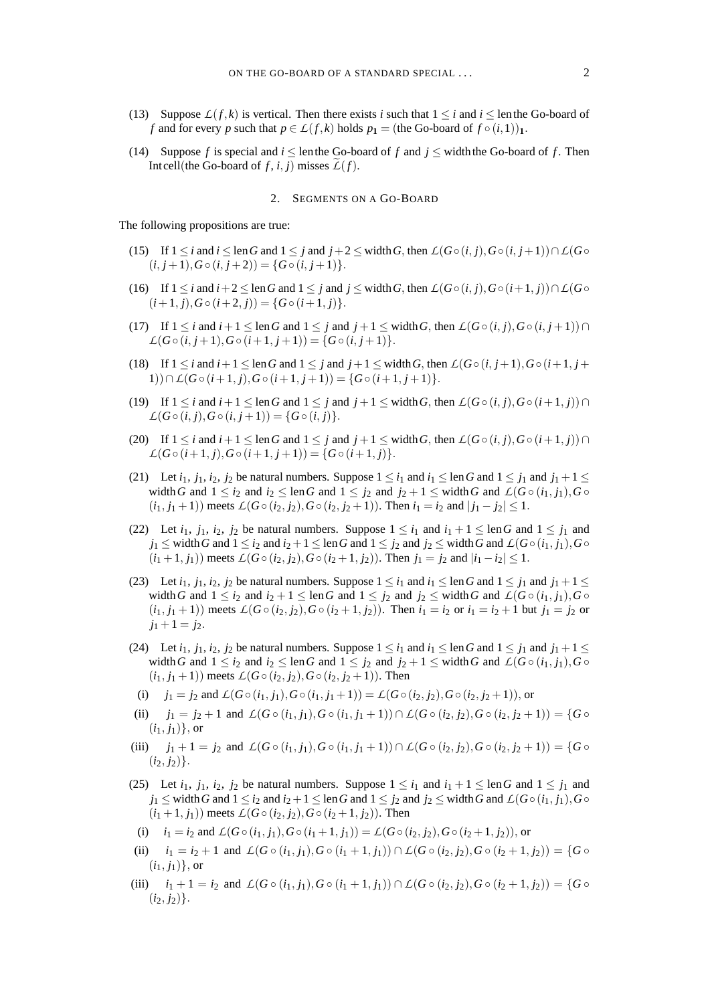- (13) Suppose  $L(f,k)$  is vertical. Then there exists *i* such that  $1 \le i$  and  $i \le$  lenthe Go-board of *f* and for every *p* such that  $p \in L(f,k)$  holds  $p_1 =$  (the Go-board of  $f \circ (i,1)$ )<sub>1</sub>.
- (14) Suppose *f* is special and  $i \leq$  lenthe Go-board of *f* and  $j \leq$  width the Go-board of *f*. Then Intcell(the Go-board of *f*, *i*, *j*) misses  $L(f)$ .

#### 2. SEGMENTS ON A GO-BOARD

The following propositions are true:

- (15) If 1 ≤ *i* and *i* ≤ len*G* and 1 ≤ *j* and *j*+2 ≤ width*G*, then *L*(*G*◦(*i*, *j*),*G*◦(*i*, *j*+1))∩*L*(*G*  $(i, j+1), G \circ (i, j+2)) = \{G \circ (i, j+1)\}.$
- (16) If  $1 \le i$  and  $i+2 \le \text{len } G$  and  $1 \le j$  and  $j \le \text{width } G$ , then  $L(G \circ (i, j), G \circ (i+1, j)) \cap L(G \circ$  $(i+1, j), G \circ (i+2, j)) = \{G \circ (i+1, j)\}.$
- (17) If  $1 \le i$  and  $i+1 \le \text{len } G$  and  $1 \le j$  and  $j+1 \le \text{width } G$ , then  $\mathcal{L}(G \circ (i, j), G \circ (i, j+1)) \cap$  $L(G \circ (i, j+1), G \circ (i+1, j+1)) = \{G \circ (i, j+1)\}.$
- (18) If  $1 \le i$  and  $i+1 \le \text{len } G$  and  $1 \le j$  and  $j+1 \le \text{width } G$ , then  $L(G \circ (i, j+1), G \circ (i+1, j+1))$ 1))∩*L*( $G \circ (i+1, j)$ , $G \circ (i+1, j+1)$ ) = { $G \circ (i+1, j+1)$ }.
- (19) If  $1 \le i$  and  $i+1 \le \text{len } G$  and  $1 \le j$  and  $j+1 \le \text{width } G$ , then  $\mathcal{L}(G \circ (i, j), G \circ (i+1, j)) \cap$  $L(G \circ (i, j), G \circ (i, j+1)) = \{G \circ (i, j)\}.$
- (20) If  $1 \le i$  and  $i+1 \le \text{len } G$  and  $1 \le j$  and  $j+1 \le \text{width } G$ , then  $\mathcal{L}(G \circ (i, j), G \circ (i+1, j)) \cap$  $L(G \circ (i+1, j), G \circ (i+1, j+1)) = \{G \circ (i+1, j)\}.$
- (21) Let  $i_1$ ,  $j_1$ ,  $i_2$ ,  $j_2$  be natural numbers. Suppose  $1 \leq i_1$  and  $i_1 \leq \text{len } G$  and  $1 \leq j_1$  and  $j_1 + 1 \leq \text{len } G$ width G and  $1 \le i_2$  and  $i_2 \le \text{len } G$  and  $1 \le i_2$  and  $i_2 + 1 \le \text{width } G$  and  $\mathcal{L}(G \circ (i_1, i_1), G \circ$  $(i_1, j_1 + 1)$  meets  $\mathcal{L}(G \circ (i_2, j_2), G \circ (i_2, j_2 + 1))$ . Then  $i_1 = i_2$  and  $|j_1 - j_2| \leq 1$ .
- (22) Let  $i_1$ ,  $j_1$ ,  $i_2$ ,  $j_2$  be natural numbers. Suppose  $1 \leq i_1$  and  $i_1 + 1 \leq \text{len } G$  and  $1 \leq j_1$  and  $j_1$  < width *G* and  $1 \leq i_2$  and  $i_2 + 1 \leq \text{len } G$  and  $1 \leq j_2$  and  $j_2 \leq \text{width } G$  and  $\mathcal{L}(G \circ (i_1, i_1), G \circ (i_2, i_3))$  $(i_1 + 1, j_1)$  meets  $L(G \circ (i_2, j_2), G \circ (i_2 + 1, j_2))$ . Then  $j_1 = j_2$  and  $|i_1 - i_2| \leq 1$ .
- (23) Let  $i_1$ ,  $j_1$ ,  $i_2$ ,  $j_2$  be natural numbers. Suppose  $1 \le i_1$  and  $i_1 \le \text{len } G$  and  $1 \le j_1$  and  $j_1 + 1 \le j_2$ width G and  $1 \le i_2$  and  $i_2 + 1 \le \text{len } G$  and  $1 \le i_2$  and  $i_2 \le \text{width } G$  and  $\mathcal{L}(G \circ (i_1, j_1), G \circ$  $(i_1, j_1 + 1)$  meets  $L(G \circ (i_2, j_2), G \circ (i_2 + 1, j_2))$ . Then  $i_1 = i_2$  or  $i_1 = i_2 + 1$  but  $j_1 = j_2$  or  $j_1 + 1 = j_2$ .
- (24) Let  $i_1$ ,  $j_1$ ,  $i_2$ ,  $j_2$  be natural numbers. Suppose  $1 \leq i_1$  and  $i_1 \leq \text{len } G$  and  $1 \leq j_1$  and  $j_1 + 1 \leq \text{len } G$ width *G* and  $1 \le i_2$  and  $i_2 \le \text{len } G$  and  $1 \le j_2$  and  $j_2 + 1 \le \text{width } G$  and  $\mathcal{L}(G \circ (i_1, j_1), G \circ$  $(i_1, i_1 + 1)$  meets  $L(G \circ (i_2, i_2), G \circ (i_2, i_2 + 1))$ . Then
- (i)  $j_1 = j_2$  and  $L(G \circ (i_1, j_1), G \circ (i_1, j_1 + 1)) = L(G \circ (i_2, j_2), G \circ (i_2, j_2 + 1))$ , or
- (ii)  $j_1 = j_2 + 1$  and  $\mathcal{L}(G \circ (i_1, j_1), G \circ (i_1, j_1 + 1)) \cap \mathcal{L}(G \circ (i_2, j_2), G \circ (i_2, j_2 + 1)) = \{G \circ (i_1, j_1 + 1), G \circ (i_1, j_1 + 1)\}$  $(i_1, j_1)$ , or
- (iii)  $j_1 + 1 = j_2$  and  $\mathcal{L}(G \circ (i_1, j_1), G \circ (i_1, j_1 + 1)) \cap \mathcal{L}(G \circ (i_2, j_2), G \circ (i_2, j_2 + 1)) = \{G \circ (i_1, j_1), G \circ (i_1, j_1 + 1) \}$  $(i_2, j_2)$ .
- (25) Let  $i_1$ ,  $j_1$ ,  $i_2$ ,  $j_2$  be natural numbers. Suppose  $1 \leq i_1$  and  $i_1 + 1 \leq \text{len } G$  and  $1 \leq j_1$  and  $j_1 \leq$  width *G* and  $1 \leq i_2$  and  $i_2 + 1 \leq$  len *G* and  $1 \leq j_2$  and  $j_2 \leq$  width *G* and  $\mathcal{L}(G \circ (i_1, j_1), G \circ (i_2, j_2))$  $(i_1 + 1, j_1)$  meets  $L(G \circ (i_2, j_2), G \circ (i_2 + 1, j_2))$ . Then
- (i)  $i_1 = i_2$  and  $\mathcal{L}(G \circ (i_1, j_1), G \circ (i_1 + 1, j_1)) = \mathcal{L}(G \circ (i_2, j_2), G \circ (i_2 + 1, j_2))$ , or
- (ii)  $i_1 = i_2 + 1$  and  $\mathcal{L}(G \circ (i_1, j_1), G \circ (i_1 + 1, j_1)) \cap \mathcal{L}(G \circ (i_2, j_2), G \circ (i_2 + 1, j_2)) = \{G \circ (i_1 + 1, j_1)\}$  $(i_1, j_1)$ , or
- (iii)  $i_1 + 1 = i_2$  and  $\mathcal{L}(G \circ (i_1, j_1), G \circ (i_1 + 1, j_1)) \cap \mathcal{L}(G \circ (i_2, j_2), G \circ (i_2 + 1, j_2)) = \{G \circ$  $(i_2, j_2)$ .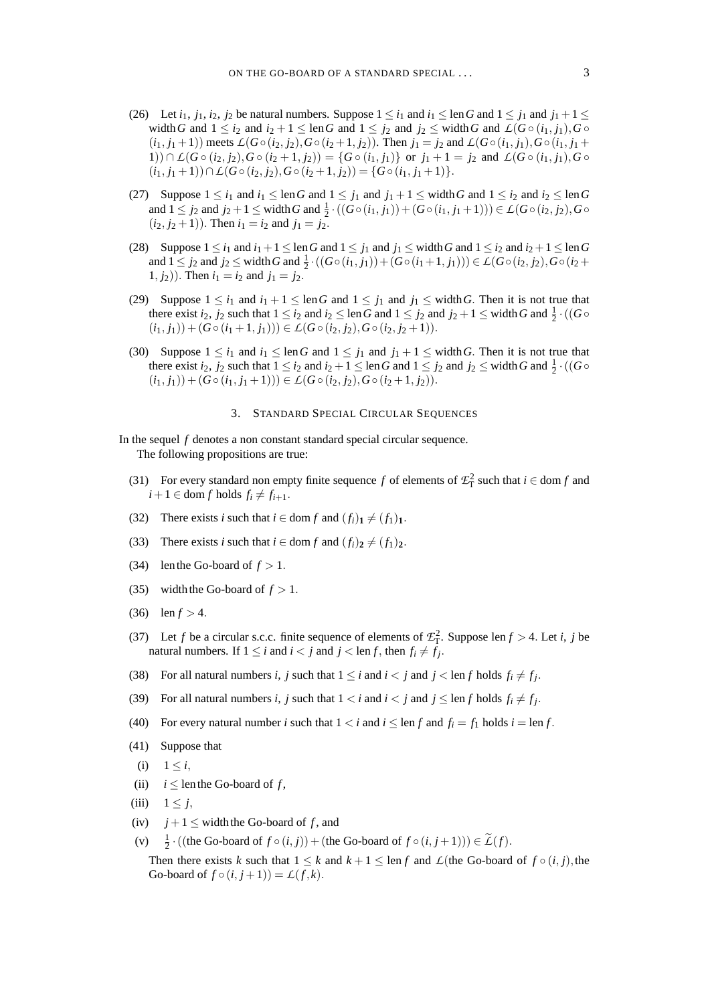- (26) Let  $i_1$ ,  $j_1$ ,  $i_2$ ,  $j_2$  be natural numbers. Suppose  $1 \le i_1$  and  $i_1 \le \text{len } G$  and  $1 \le j_1$  and  $j_1 + 1 \le \text{len } G$ width *G* and  $1 \le i_2$  and  $i_2 + 1 \le \text{len } G$  and  $1 \le j_2$  and  $j_2 \le \text{width } G$  and  $\mathcal{L}(G \circ (i_1, j_1), G \circ (i_2, j_2))$  $(i_1, j_1 + 1)$  meets  $L(G \circ (i_2, j_2), G \circ (i_2 + 1, j_2))$ . Then  $j_1 = j_2$  and  $L(G \circ (i_1, j_1), G \circ (i_1, j_1 + 1))$ 1)) ∩  $L(G \circ (i_2, j_2), G \circ (i_2 + 1, j_2)) = {G \circ (i_1, j_1)}$  or  $j_1 + 1 = j_2$  and  $L(G \circ (i_1, j_1), G \circ (i_2 + 1, j_2))$  $(i_1, j_1 + 1)$ )  $\cap$   $\mathcal{L}(G \circ (i_2, j_2), G \circ (i_2 + 1, j_2)) = \{G \circ (i_1, j_1 + 1)\}.$
- (27) Suppose  $1 \le i_1$  and  $i_1 \le \text{len } G$  and  $1 \le j_1$  and  $j_1 + 1 \le \text{width } G$  and  $1 \le i_2$  and  $i_2 \le \text{len } G$ and  $1 \le j_2$  and  $j_2 + 1 \le \text{width } G$  and  $\frac{1}{2} \cdot ((G \circ (i_1, j_1)) + (G \circ (i_1, j_1 + 1))) \in L(G \circ (i_2, j_2), G \circ$  $(i_2, j_2 + 1)$ ). Then  $i_1 = i_2$  and  $j_1 = j_2$ .
- (28) Suppose  $1 \le i_1$  and  $i_1 + 1 \le \text{len } G$  and  $1 \le j_1$  and  $j_1 \le \text{width } G$  and  $1 \le i_2$  and  $i_2 + 1 \le \text{len } G$ and  $1 \leq j_2$  and  $j_2 \leq$  width *G* and  $\frac{1}{2} \cdot ((G \circ (i_1, j_1)) + (G \circ (i_1 + 1, j_1))) \in L(G \circ (i_2, j_2), G \circ (i_2 +$ 1,  $j_2$ )). Then  $i_1 = i_2$  and  $j_1 = j_2$ .
- (29) Suppose  $1 \le i_1$  and  $i_1 + 1 \le \text{len } G$  and  $1 \le j_1$  and  $j_1 \le \text{width } G$ . Then it is not true that there exist *i*<sub>2</sub>, *j*<sub>2</sub> such that  $1 \le i_2$  and *i*<sub>2</sub>  $\le$  len *G* and  $1 \le j_2$  and *j*<sub>2</sub> + 1  $\le$  width *G* and  $\frac{1}{2} \cdot ((G \circ$  $((i_1, j_1)) + (G \circ (i_1 + 1, j_1)) \in L(G \circ (i_2, j_2), G \circ (i_2, j_2 + 1)).$
- (30) Suppose  $1 \leq i_1$  and  $i_1 \leq \text{len } G$  and  $1 \leq j_1$  and  $j_1 + 1 \leq \text{width } G$ . Then it is not true that there exist *i*<sub>2</sub>, *j*<sub>2</sub> such that  $1 \le i_2$  and *i*<sub>2</sub> + 1  $\le$  len*G* and  $1 \le j_2$  and *j*<sub>2</sub>  $\le$  width *G* and  $\frac{1}{2} \cdot ((G \circ$  $(i_1, j_1)$  +  $(G \circ (i_1, j_1 + 1))$   $\in L(G \circ (i_2, j_2), G \circ (i_2 + 1, j_2)).$

## 3. STANDARD SPECIAL CIRCULAR SEQUENCES

In the sequel *f* denotes a non constant standard special circular sequence. The following propositions are true:

- (31) For every standard non empty finite sequence *f* of elements of  $\mathcal{L}_{\Gamma}^2$  such that  $i \in \text{dom } f$  and  $i+1 \in \text{dom } f \text{ holds } f_i \neq f_{i+1}.$
- (32) There exists *i* such that  $i \in \text{dom } f$  and  $(f_i)_1 \neq (f_1)_1$ .
- (33) There exists *i* such that  $i \in \text{dom } f$  and  $(f_i)_2 \neq (f_1)_2$ .
- (34) lenthe Go-board of  $f > 1$ .
- (35) width the Go-board of  $f > 1$ .
- (36) len  $f > 4$ .
- (37) Let *f* be a circular s.c.c. finite sequence of elements of  $\mathcal{E}_{\Gamma}^2$ . Suppose len *f* > 4. Let *i*, *j* be natural numbers. If  $1 \leq i$  and  $i < j$  and  $j < \text{len } f$ , then  $f_i \neq f_j$ .
- (38) For all natural numbers *i*, *j* such that  $1 \le i$  and  $i < j$  and  $j < \text{len } f$  holds  $f_i \ne f_j$ .
- (39) For all natural numbers *i*, *j* such that  $1 < i$  and  $i < j$  and  $j \leq \text{len } f$  holds  $f_i \neq f_j$ .
- (40) For every natural number *i* such that  $1 < i$  and  $i \leq \text{len } f$  and  $f_i = f_1$  holds  $i = \text{len } f$ .
- (41) Suppose that
- (i)  $1 \le i$ ,
- (ii)  $i \leq$  len the Go-board of *f*,
- (iii)  $1 \leq j$ ,
- (iv)  $j+1 \leq$  width the Go-board of *f*, and
- $(v)$  $\frac{1}{2} \cdot ((\text{the Go-board of } f \circ (i, j)) + (\text{the Go-board of } f \circ (i, j+1))) \in \mathcal{L}(f).$

Then there exists *k* such that  $1 \leq k$  and  $k + 1 \leq \text{len } f$  and  $L$ (the Go-board of  $f \circ (i, j)$ , the Go-board of  $f \circ (i, j+1) = L(f, k)$ .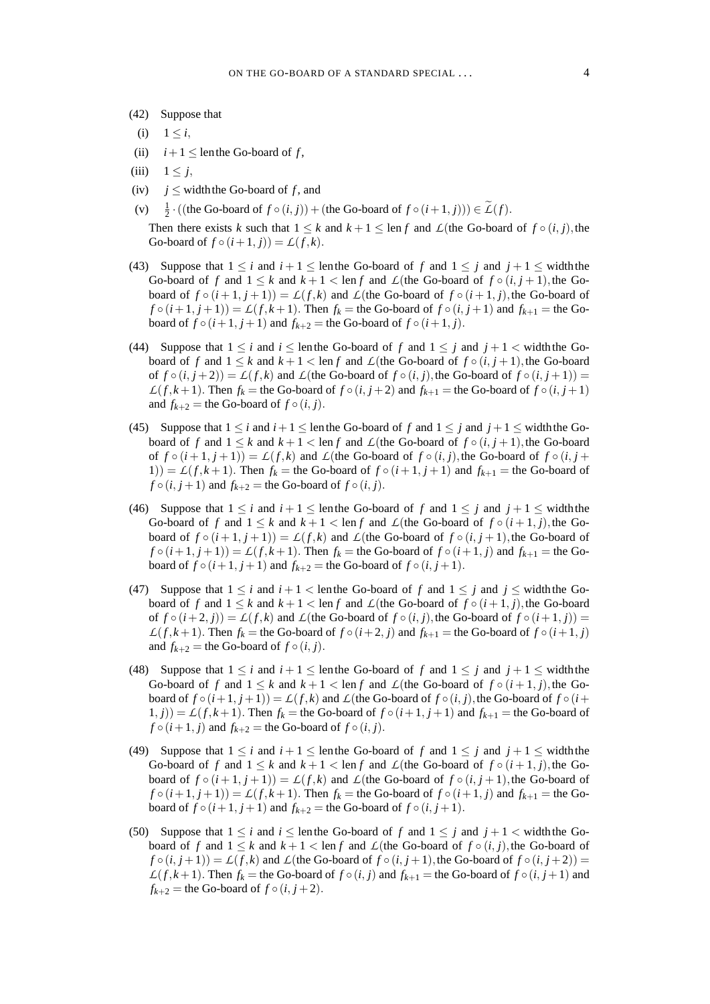- (42) Suppose that
- (i)  $1 \leq i$ ,
- (ii)  $i+1 \leq$  lenthe Go-board of *f*,
- (iii)  $1 \leq j$ ,
- (iv)  $i \leq$  width the Go-board of f, and
- $(v)$   $\frac{1}{2} \cdot ((\text{the Go-board of } f \circ (i, j)) + (\text{the Go-board of } f \circ (i+1, j))) \in \widetilde{\mathcal{L}}(f).$

Then there exists *k* such that  $1 \leq k$  and  $k + 1 \leq \text{len } f$  and  $\mathcal{L}$ (the Go-board of  $f \circ (i, j)$ , the Go-board of  $f \circ (i+1, j) = L(f, k)$ .

- (43) Suppose that  $1 \le i$  and  $i + 1 \le$  lenthe Go-board of f and  $1 \le j$  and  $j + 1 \le$  width the Go-board of *f* and  $1 \leq k$  and  $k+1 < \text{len } f$  and  $\mathcal{L}$ (the Go-board of  $f \circ (i, j+1)$ , the Goboard of  $f \circ (i+1, j+1) = L(f, k)$  and  $L$ (the Go-board of  $f \circ (i+1, j)$ , the Go-board of  $f \circ (i+1, j+1) = \mathcal{L}(f, k+1)$ . Then  $f_k$  = the Go-board of  $f \circ (i, j+1)$  and  $f_{k+1}$  = the Goboard of  $f \circ (i+1, j+1)$  and  $f_{k+2}$  = the Go-board of  $f \circ (i+1, j)$ .
- (44) Suppose that  $1 \le i$  and  $i \le$  lenthe Go-board of f and  $1 \le j$  and  $j + 1 <$  width the Goboard of *f* and  $1 \le k$  and  $k+1 \le \text{len } f$  and  $\mathcal{L}$ (the Go-board of  $f \circ (i, j+1)$ , the Go-board of  $f \circ (i, j+2) = L(f, k)$  and  $L$ (the Go-board of  $f \circ (i, j)$ , the Go-board of  $f \circ (i, j+1)$ ) =  $L(f, k+1)$ . Then  $f_k$  = the Go-board of  $f \circ (i, j+2)$  and  $f_{k+1}$  = the Go-board of  $f \circ (i, j+1)$ and  $f_{k+2}$  = the Go-board of  $f \circ (i, j)$ .
- (45) Suppose that  $1 \le i$  and  $i+1 \le$  lenthe Go-board of f and  $1 \le j$  and  $j+1 \le$  width the Goboard of *f* and  $1 \leq k$  and  $k + 1 < \text{len } f$  and  $\mathcal{L}$ (the Go-board of  $f \circ (i, j + 1)$ , the Go-board of  $f \circ (i+1, j+1) = L(f,k)$  and  $L$ (the Go-board of  $f \circ (i, j)$ , the Go-board of  $f \circ (i, j+1)$ 1)) =  $L(f, k+1)$ . Then  $f_k$  = the Go-board of  $f \circ (i+1, j+1)$  and  $f_{k+1}$  = the Go-board of  $f \circ (i, j+1)$  and  $f_{k+2}$  = the Go-board of  $f \circ (i, j)$ .
- (46) Suppose that  $1 \le i$  and  $i + 1 \le$  lenthe Go-board of f and  $1 \le j$  and  $j + 1 \le$  width the Go-board of *f* and  $1 \leq k$  and  $k+1 < \text{len } f$  and  $\mathcal{L}$ (the Go-board of  $f \circ (i+1,j)$ , the Goboard of  $f \circ (i+1, j+1) = L(f, k)$  and  $L$ (the Go-board of  $f \circ (i, j+1)$ , the Go-board of  $f \circ (i+1, j+1) = \mathcal{L}(f, k+1)$ . Then  $f_k$  = the Go-board of  $f \circ (i+1, j)$  and  $f_{k+1}$  = the Goboard of  $f \circ (i+1, j+1)$  and  $f_{k+2}$  = the Go-board of  $f \circ (i, j+1)$ .
- (47) Suppose that  $1 \le i$  and  $i + 1 <$  lenthe Go-board of f and  $1 \le j$  and  $j \le$  width the Goboard of *f* and  $1 \leq k$  and  $k + 1 < \text{len } f$  and  $L$ (the Go-board of  $f \circ (i + 1, j)$ , the Go-board of  $f \circ (i+2, j) = L(f, k)$  and  $L$ (the Go-board of  $f \circ (i, j)$ , the Go-board of  $f \circ (i+1, j)$ ) =  $L(f, k+1)$ . Then  $f_k$  = the Go-board of  $f \circ (i+2, j)$  and  $f_{k+1}$  = the Go-board of  $f \circ (i+1, j)$ and  $f_{k+2}$  = the Go-board of  $f \circ (i, j)$ .
- (48) Suppose that  $1 \le i$  and  $i + 1 \le$  lenthe Go-board of f and  $1 \le j$  and  $j + 1 \le$  width the Go-board of *f* and  $1 \leq k$  and  $k+1 < \text{len } f$  and  $\mathcal{L}$ (the Go-board of  $f \circ (i+1, j)$ , the Goboard of  $f \circ (i+1, j+1) = L(f, k)$  and  $L$ (the Go-board of  $f \circ (i, j)$ , the Go-board of  $f \circ (i+1, j+1)$ )  $(1, j) = L(f, k+1)$ . Then  $f_k$  = the Go-board of  $f \circ (i+1, j+1)$  and  $f_{k+1}$  = the Go-board of  $f \circ (i+1, j)$  and  $f_{k+2}$  = the Go-board of  $f \circ (i, j)$ .
- (49) Suppose that  $1 \le i$  and  $i + 1 \le$  lenthe Go-board of f and  $1 \le j$  and  $j + 1 \le$  width the Go-board of f and  $1 \leq k$  and  $k+1 < \text{len } f$  and  $\mathcal{L}$ (the Go-board of  $f \circ (i+1, j)$ , the Goboard of  $f \circ (i+1, j+1) = L(f,k)$  and  $L$ (the Go-board of  $f \circ (i, j+1)$ , the Go-board of  $f \circ (i+1, j+1) = \mathcal{L}(f, k+1)$ . Then  $f_k$  = the Go-board of  $f \circ (i+1, j)$  and  $f_{k+1}$  = the Goboard of  $f \circ (i+1, j+1)$  and  $f_{k+2}$  = the Go-board of  $f \circ (i, j+1)$ .
- (50) Suppose that  $1 \le i$  and  $i \le$  lenthe Go-board of f and  $1 \le j$  and  $j + 1 <$  width the Goboard of *f* and  $1 \leq k$  and  $k + 1 < \text{len } f$  and  $\mathcal{L}$ (the Go-board of  $f \circ (i, j)$ , the Go-board of  $f \circ (i, j + 1) = L(f, k)$  and  $L$ (the Go-board of  $f \circ (i, j + 1)$ , the Go-board of  $f \circ (i, j + 2)$ ) =  $L(f, k+1)$ . Then  $f_k$  = the Go-board of  $f \circ (i, j)$  and  $f_{k+1}$  = the Go-board of  $f \circ (i, j+1)$  and  $f_{k+2}$  = the Go-board of  $f \circ (i, j+2)$ .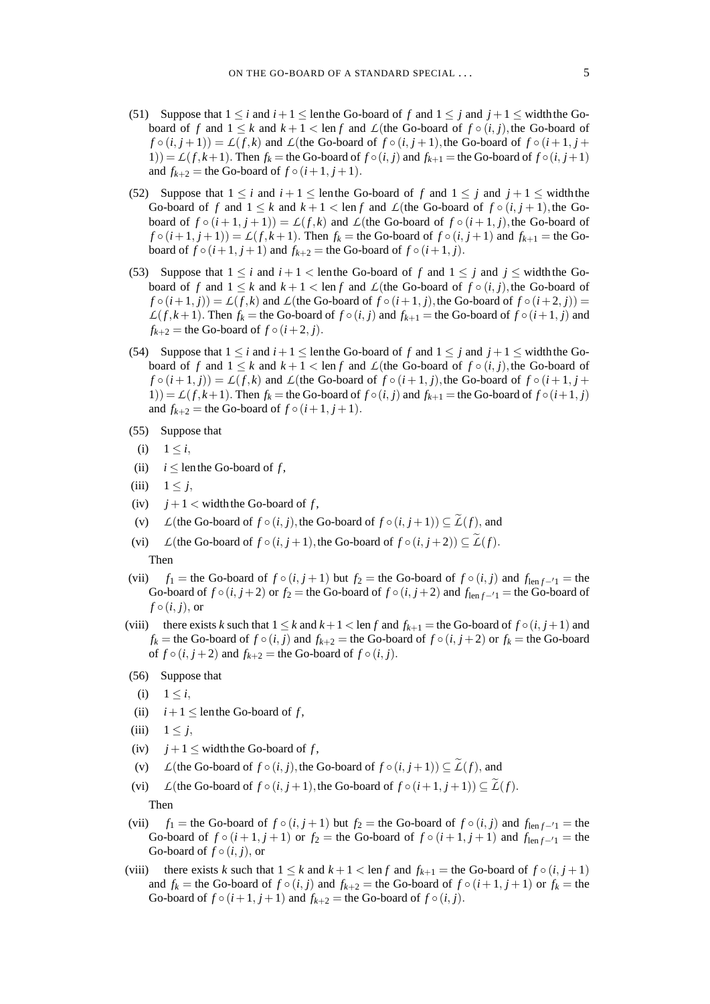- 
- (51) Suppose that  $1 \le i$  and  $i+1 \le$  lenthe Go-board of f and  $1 \le j$  and  $j+1 \le$  width the Goboard of *f* and  $1 \leq k$  and  $k + 1 < \text{len } f$  and  $\mathcal{L}$ (the Go-board of  $f \circ (i, j)$ , the Go-board of  $f \circ (i, j + 1) = L(f, k)$  and  $L$ (the Go-board of  $f \circ (i, j + 1)$ , the Go-board of  $f \circ (i + 1, j + 1)$  $1)$ ) =  $L(f, k+1)$ . Then  $f_k$  = the Go-board of  $f \circ (i, j)$  and  $f_{k+1}$  = the Go-board of  $f \circ (i, j+1)$ and  $f_{k+2}$  = the Go-board of  $f \circ (i+1, j+1)$ .
- (52) Suppose that  $1 \le i$  and  $i + 1 \le$  lenthe Go-board of f and  $1 \le j$  and  $j + 1 \le$  width the Go-board of *f* and  $1 \leq k$  and  $k+1 \leq \text{len } f$  and  $\mathcal{L}$ (the Go-board of  $f \circ (i, j+1)$ , the Goboard of  $f \circ (i+1, j+1) = L(f, k)$  and  $L$ (the Go-board of  $f \circ (i+1, j)$ , the Go-board of  $f \circ (i+1, j+1) = \mathcal{L}(f, k+1)$ . Then  $f_k$  = the Go-board of  $f \circ (i, j+1)$  and  $f_{k+1}$  = the Goboard of  $f \circ (i+1, j+1)$  and  $f_{k+2}$  = the Go-board of  $f \circ (i+1, j)$ .
- (53) Suppose that  $1 \le i$  and  $i + 1 <$  lenthe Go-board of f and  $1 \le j$  and  $j \le$  width the Goboard of *f* and  $1 \leq k$  and  $k + 1 < \text{len } f$  and  $L$ (the Go-board of  $f \circ (i, j)$ , the Go-board of  $f \circ (i+1, j) = L(f, k)$  and  $L$ (the Go-board of  $f \circ (i+1, j)$ , the Go-board of  $f \circ (i+2, j)$ ) =  $L(f, k+1)$ . Then  $f_k$  = the Go-board of  $f \circ (i, j)$  and  $f_{k+1}$  = the Go-board of  $f \circ (i+1, j)$  and  $f_{k+2}$  = the Go-board of  $f \circ (i+2, j)$ .
- (54) Suppose that  $1 \le i$  and  $i + 1 \le$  lenthe Go-board of f and  $1 \le j$  and  $j + 1 \le$  width the Goboard of *f* and  $1 \leq k$  and  $k + 1 < \text{len } f$  and  $\mathcal{L}$ (the Go-board of  $f \circ (i, j)$ , the Go-board of  $f \circ (i+1,j) = L(f,k)$  and  $L$ (the Go-board of  $f \circ (i+1,j)$ , the Go-board of  $f \circ (i+1,j+1)$ 1)) =  $L(f, k+1)$ . Then  $f_k$  = the Go-board of  $f \circ (i, j)$  and  $f_{k+1}$  = the Go-board of  $f \circ (i+1, j)$ and  $f_{k+2}$  = the Go-board of  $f \circ (i+1, j+1)$ .
- (55) Suppose that
- (i)  $1 \leq i$ ,
- (ii)  $i \leq$  len the Go-board of *f*,
- (iii)  $1 \leq j$ ,
- (iv)  $j+1 <$  width the Go-board of f,
- (v) *L*(the Go-board of  $f \circ (i, j)$ , the Go-board of  $f \circ (i, j + 1) \subseteq \widetilde{L}(f)$ , and
- (vi)  $L(\text{the Go-board of } f \circ (i, j+1), \text{the Go-board of } f \circ (i, j+2)) \subset \widetilde{L}(f)$ .
	- Then
- (vii)  $f_1$  = the Go-board of  $f \circ (i, j + 1)$  but  $f_2$  = the Go-board of  $f \circ (i, j)$  and  $f_{len f 1}$  = the Go-board of  $f \circ (i, j+2)$  or  $f_2$  = the Go-board of  $f \circ (i, j+2)$  and  $f_{len f-1}$  = the Go-board of  $f \circ (i, j)$ , or
- (viii) there exists *k* such that  $1 \leq k$  and  $k+1 < \text{len } f$  and  $f_{k+1} =$  the Go-board of  $f \circ (i, j+1)$  and *f*<sub>*k*</sub> = the Go-board of *f* ◦ (*i*, *j*) and *f*<sub>*k*+2</sub> = the Go-board of *f* ◦ (*i*, *j* + 2) or *f*<sub>*k*</sub> = the Go-board of  $f \circ (i, j+2)$  and  $f_{k+2}$  = the Go-board of  $f \circ (i, j)$ .
- (56) Suppose that
- (i)  $1 \le i$ ,
- (ii)  $i+1 \leq$  lenthe Go-board of *f*,
- (iii)  $1 \leq j$ ,
- (iv)  $j+1 \leq$  width the Go-board of f,
- (v)  $L(\text{the Go-board of } f \circ (i, j), \text{the Go-board of } f \circ (i, j+1)) \subseteq L(f)$ , and
- (vi)  $L(\text{the Go-board of } f \circ (i, j+1), \text{the Go-board of } f \circ (i+1, j+1)) \subseteq \widetilde{L}(f)$ .

Then

- (vii)  $f_1$  = the Go-board of  $f \circ (i, j + 1)$  but  $f_2$  = the Go-board of  $f \circ (i, j)$  and  $f_{len f 1}$  = the Go-board of  $f \circ (i+1, j+1)$  or  $f_2$  = the Go-board of  $f \circ (i+1, j+1)$  and  $f_{\text{len }f-1}$  = the Go-board of  $f \circ (i, j)$ , or
- (viii) there exists *k* such that  $1 \leq k$  and  $k+1 < \text{len } f$  and  $f_{k+1} =$  the Go-board of  $f \circ (i, j+1)$ and  $f_k$  = the Go-board of  $f \circ (i, j)$  and  $f_{k+2}$  = the Go-board of  $f \circ (i+1, j+1)$  or  $f_k$  = the Go-board of  $f \circ (i+1, j+1)$  and  $f_{k+2}$  = the Go-board of  $f \circ (i, j)$ .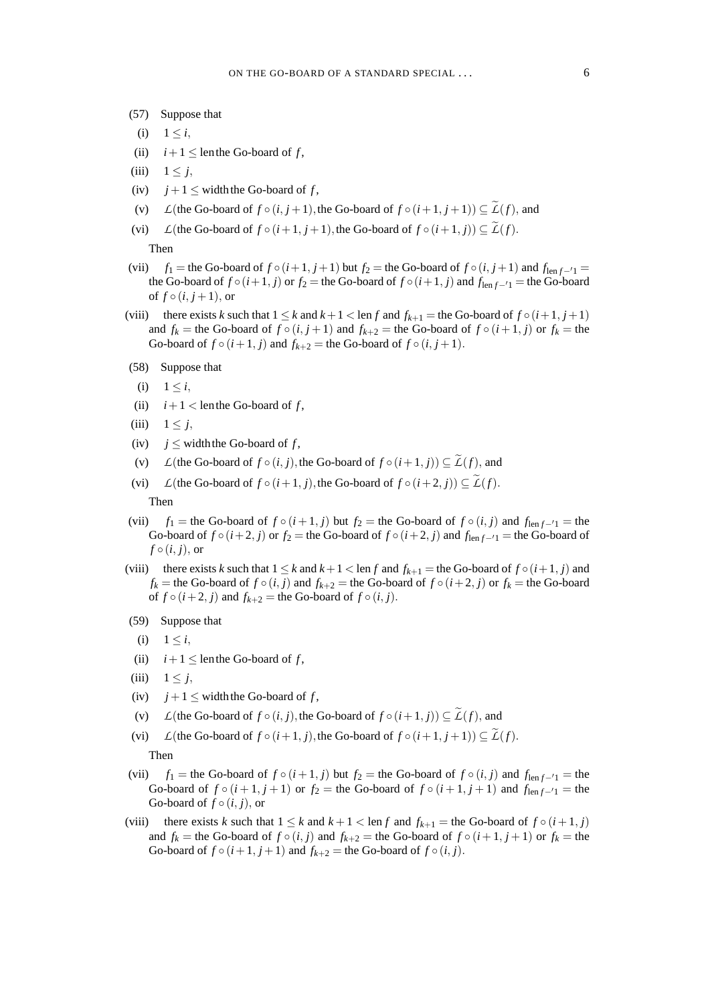- (57) Suppose that
- (i)  $1 \leq i$ ,
- (ii)  $i+1 \leq$  lenthe Go-board of *f*,
- (iii)  $1 \leq j$ ,
- (iv)  $j + 1 \leq$  width the Go-board of *f*,
- (v) *L*(the Go-board of  $f \circ (i, j + 1)$ , the Go-board of  $f \circ (i + 1, j + 1) \subseteq \widetilde{L}(f)$ , and
- (vi) *L*(the Go-board of  $f \circ (i+1, j+1)$ , the Go-board of  $f \circ (i+1, j) \subseteq \widetilde{L}(f)$ . Then
- (vii)  $f_1$  = the Go-board of  $f \circ (i+1, j+1)$  but  $f_2$  = the Go-board of  $f \circ (i, j+1)$  and  $f_{\text{len } f 1}$  = the Go-board of  $f \circ (i+1, j)$  or  $f_2$  = the Go-board of  $f \circ (i+1, j)$  and  $f_{len f - 1}$  = the Go-board of  $f \circ (i, j+1)$ , or
- (viii) there exists *k* such that  $1 \leq k$  and  $k+1 < \text{len } f$  and  $f_{k+1} =$  the Go-board of  $f \circ (i+1, j+1)$ and  $f_k$  = the Go-board of  $f \circ (i, j + 1)$  and  $f_{k+2}$  = the Go-board of  $f \circ (i + 1, j)$  or  $f_k$  = the Go-board of  $f \circ (i+1, j)$  and  $f_{k+2}$  = the Go-board of  $f \circ (i, j+1)$ .
- (58) Suppose that
- (i)  $1 \leq i$ ,
- (ii)  $i+1 <$  lenthe Go-board of *f*,
- (iii)  $1 \leq j$ ,
- (iv)  $i \leq$  width the Go-board of f,
- (v) *L*(the Go-board of  $f \circ (i, j)$ , the Go-board of  $f \circ (i + 1, j) \subseteq \widetilde{L}(f)$ , and
- (vi)  $L(\text{the Go-board of } f \circ (i+1, j), \text{the Go-board of } f \circ (i+2, j)) \subseteq L(f).$ Then
- (vii)  $f_1$  = the Go-board of  $f \circ (i+1, j)$  but  $f_2$  = the Go-board of  $f \circ (i, j)$  and  $f_{len f 1}$  = the Go-board of  $f \circ (i+2, j)$  or  $f_2$  = the Go-board of  $f \circ (i+2, j)$  and  $f_{len f-1}$  = the Go-board of  $f \circ (i, j)$ , or
- (viii) there exists *k* such that  $1 \leq k$  and  $k+1 \leq \text{len } f$  and  $f_{k+1} =$  the Go-board of  $f \circ (i+1, j)$  and  $f_k$  = the Go-board of  $f \circ (i, j)$  and  $f_{k+2}$  = the Go-board of  $f \circ (i+2, j)$  or  $f_k$  = the Go-board of  $f \circ (i+2, j)$  and  $f_{k+2}$  = the Go-board of  $f \circ (i, j)$ .
- (59) Suppose that
- (i)  $1 \le i$ ,
- (ii)  $i+1 \leq$  lenthe Go-board of *f*,
- (iii)  $1 \leq j$ ,
- (iv)  $j+1 \leq$  width the Go-board of *f*,
- (v) *L*(the Go-board of  $f \circ (i, j)$ , the Go-board of  $f \circ (i + 1, j) \subseteq \widetilde{L}(f)$ , and
- (vi) *L*(the Go-board of  $f \circ (i+1, j)$ , the Go-board of  $f \circ (i+1, j+1) \subseteq \widetilde{L}(f)$ . Then
- (vii)  $f_1$  = the Go-board of  $f \circ (i+1, j)$  but  $f_2$  = the Go-board of  $f \circ (i, j)$  and  $f_{len f 1}$  = the Go-board of  $f \circ (i+1, j+1)$  or  $f_2$  = the Go-board of  $f \circ (i+1, j+1)$  and  $f_{\text{len } f-1}$  = the Go-board of  $f \circ (i, j)$ , or
- (viii) there exists *k* such that  $1 \leq k$  and  $k+1 < \text{len } f$  and  $f_{k+1} =$  the Go-board of  $f \circ (i+1, j)$ and  $f_k$  = the Go-board of  $f \circ (i, j)$  and  $f_{k+2}$  = the Go-board of  $f \circ (i+1, j+1)$  or  $f_k$  = the Go-board of  $f \circ (i+1, j+1)$  and  $f_{k+2}$  = the Go-board of  $f \circ (i, j)$ .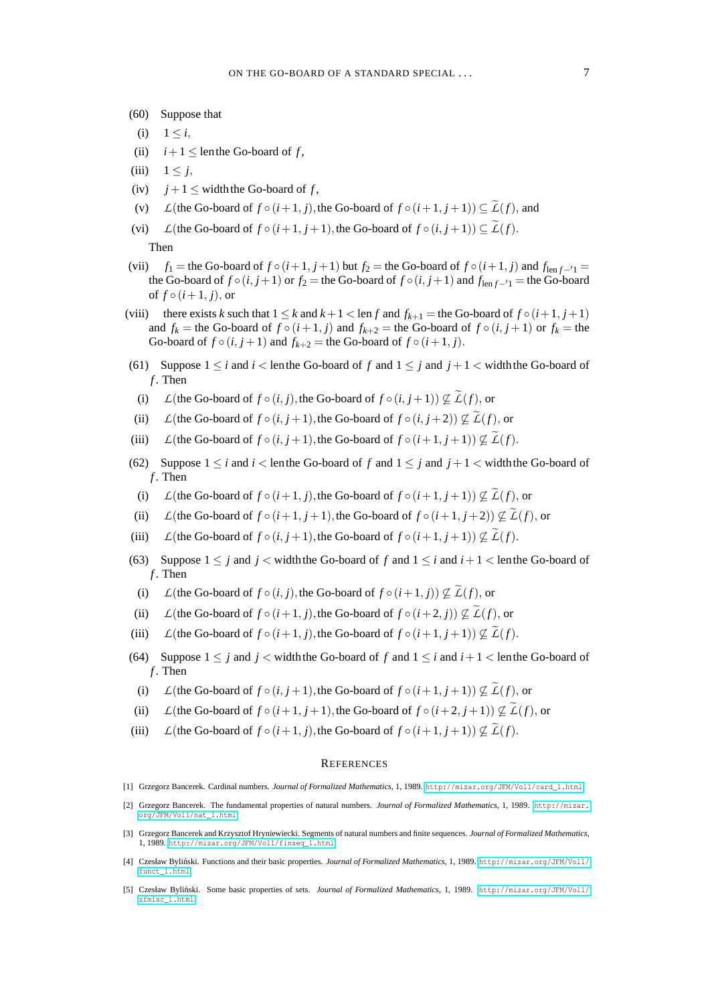- (60) Suppose that
- (i)  $1 \le i$ ,
- (ii)  $i+1 \leq$  lenthe Go-board of *f*,
- (iii)  $1 \leq j$ ,
- (iv)  $j+1 \leq$  width the Go-board of *f*,
- (v)  $L(\text{the Go-board of } f \circ (i+1, j), \text{the Go-board of } f \circ (i+1, j+1)) \subset \widetilde{L}(f)$ , and
- (vi) *L*(the Go-board of  $f \circ (i+1, j+1)$ , the Go-board of  $f \circ (i, j+1) \subseteq \widetilde{L}(f)$ . Then
- (vii)  $f_1$  = the Go-board of  $f \circ (i+1, j+1)$  but  $f_2$  = the Go-board of  $f \circ (i+1, j)$  and  $f_{len f-1}$ the Go-board of  $f \circ (i, j+1)$  or  $f_2$  = the Go-board of  $f \circ (i, j+1)$  and  $f_{\text{len } f - 1}$  = the Go-board of  $f \circ (i+1, j)$ , or
- (viii) there exists *k* such that  $1 \leq k$  and  $k+1 < \text{len } f$  and  $f_{k+1} = \text{the Go-board of } f \circ (i+1, j+1)$ and  $f_k$  = the Go-board of  $f \circ (i+1, j)$  and  $f_{k+2}$  = the Go-board of  $f \circ (i, j+1)$  or  $f_k$  = the Go-board of  $f \circ (i, j+1)$  and  $f_{k+2}$  = the Go-board of  $f \circ (i+1, j)$ .
- (61) Suppose  $1 \le i$  and  $i <$  lenthe Go-board of f and  $1 \le j$  and  $j + 1 <$  width the Go-board of *f* . Then
- (i) *L*(the Go-board of  $f \circ (i, j)$ , the Go-board of  $f \circ (i, j + 1) \not\subseteq \widetilde{L}(f)$ , or
- (ii) *L*(the Go-board of  $f \circ (i, j+1)$ , the Go-board of  $f \circ (i, j+2) \not\subseteq \widetilde{L}(f)$ , or
- (iii) *L*(the Go-board of  $f \circ (i, j + 1)$ , the Go-board of  $f \circ (i + 1, j + 1) \not\subseteq \widetilde{L}(f)$ .
- (62) Suppose  $1 \le i$  and  $i <$  lenthe Go-board of f and  $1 \le j$  and  $j + 1 <$  width the Go-board of *f* . Then
- (i) *L*(the Go-board of  $f \circ (i+1, j)$ , the Go-board of  $f \circ (i+1, j+1) \not\subseteq \widetilde{L}(f)$ , or
- (ii) *L*(the Go-board of  $f \circ (i+1, j+1)$ , the Go-board of  $f \circ (i+1, j+2) \not\subset \widetilde{L}(f)$ , or
- (iii) *L*(the Go-board of  $f \circ (i, j+1)$ , the Go-board of  $f \circ (i+1, j+1) \not\subset \widetilde{L}(f)$ .
- (63) Suppose  $1 \leq j$  and  $j <$  width the Go-board of f and  $1 \leq i$  and  $i+1 <$  lenthe Go-board of *f* . Then
- (i) *L*(the Go-board of  $f \circ (i, j)$ , the Go-board of  $f \circ (i+1, j) \nsubseteq \widetilde{L}(f)$ , or
- (ii) *L*(the Go-board of  $f \circ (i+1, i)$ , the Go-board of  $f \circ (i+2, i) \not\subset \widetilde{L}(f)$ , or
- (iii)  $L(\text{the Go-board of } f \circ (i+1, j), \text{the Go-board of } f \circ (i+1, j+1)) \nsubseteq \widetilde{L}(f)$ .
- (64) Suppose  $1 \leq j$  and  $j \leq$  width the Go-board of f and  $1 \leq i$  and  $i+1 \leq \text{len the Go-board of}$ *f* . Then
- (i)  $L$ (the Go-board of  $f \circ (i, j+1)$ , the Go-board of  $f \circ (i+1, j+1) \not\subset \widetilde{L}(f)$ , or
- (ii)  $L(\text{the Go-board of } f \circ (i+1, j+1), \text{the Go-board of } f \circ (i+2, j+1)) \nsubseteq \widetilde{L}(f)$ , or
- (iii) *L*(the Go-board of  $f \circ (i+1, j)$ , the Go-board of  $f \circ (i+1, j+1) \not\subseteq \widetilde{L}(f)$ .

#### **REFERENCES**

- <span id="page-6-2"></span>[1] Grzegorz Bancerek. Cardinal numbers. *Journal of Formalized Mathematics*, 1, 1989. [http://mizar.org/JFM/Vol1/card\\_1.html](http://mizar.org/JFM/Vol1/card_1.html).
- <span id="page-6-1"></span>[2] Grzegorz Bancerek. The fundamental properties of natural numbers. *Journal of Formalized Mathematics*, 1, 1989. [http://mizar.](http://mizar.org/JFM/Vol1/nat_1.html) [org/JFM/Vol1/nat\\_1.html](http://mizar.org/JFM/Vol1/nat_1.html).
- <span id="page-6-4"></span>[3] Grzegorz Bancerek and Krzysztof Hryniewiecki. Segments of natural numbers and finite sequences. *Journal of Formalized Mathematics*, 1, 1989. [http://mizar.org/JFM/Vol1/finseq\\_1.html](http://mizar.org/JFM/Vol1/finseq_1.html).
- <span id="page-6-3"></span>[4] Czesław Byliński. Functions and their basic properties. Journal of Formalized Mathematics, 1, 1989. [http://mizar.org/JFM/Vol1/](http://mizar.org/JFM/Vol1/funct_1.html) [funct\\_1.html](http://mizar.org/JFM/Vol1/funct_1.html).
- <span id="page-6-0"></span>[5] Czesław Bylinski. Some basic properties of sets. ´ *Journal of Formalized Mathematics*, 1, 1989. [http://mizar.org/JFM/Vol1/](http://mizar.org/JFM/Vol1/zfmisc_1.html) [zfmisc\\_1.html](http://mizar.org/JFM/Vol1/zfmisc_1.html).